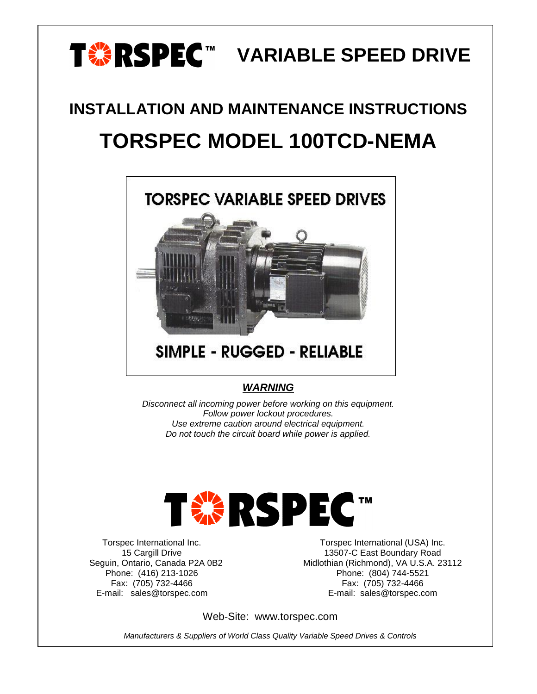## T**<sup>%</sup>RSPEC™ VARIABLE SPEED DRIVE**

# **INSTALLATION AND MAINTENANCE INSTRUCTIONS TORSPEC MODEL 100TCD-NEMA**



## **SIMPLE - RUGGED - RELIABLE**

### *WARNING*

*Disconnect all incoming power before working on this equipment. Follow power lockout procedures. Use extreme caution around electrical equipment. Do not touch the circuit board while power is applied.*



Torspec International Inc. 15 Cargill Drive Seguin, Ontario, Canada P2A 0B2 Phone: (416) 213-1026 Fax: (705) 732-4466 E-mail: sales@torspec.com

Torspec International (USA) Inc. 13507-C East Boundary Road Midlothian (Richmond), VA U.S.A. 23112 Phone: (804) 744-5521 Fax: (705) 732-4466 E-mail: sales@torspec.com

Web-Site: www.torspec.com

*Manufacturers & Suppliers of World Class Quality Variable Speed Drives & Controls*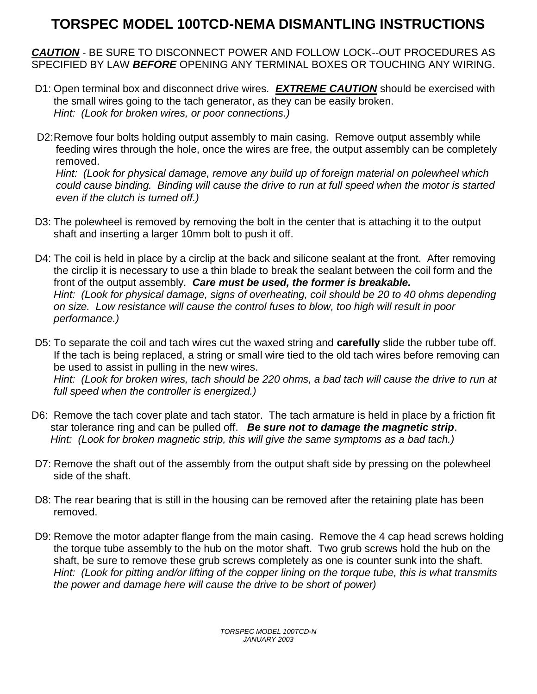## **TORSPEC MODEL 100TCD-NEMA DISMANTLING INSTRUCTIONS**

*CAUTION* - BE SURE TO DISCONNECT POWER AND FOLLOW LOCK--OUT PROCEDURES AS SPECIFIED BY LAW *BEFORE* OPENING ANY TERMINAL BOXES OR TOUCHING ANY WIRING.

- D1: Open terminal box and disconnect drive wires*. EXTREME CAUTION* should be exercised with the small wires going to the tach generator, as they can be easily broken. *Hint: (Look for broken wires, or poor connections.)*
- D2: Remove four bolts holding output assembly to main casing. Remove output assembly while feeding wires through the hole, once the wires are free, the output assembly can be completely removed. *Hint: (Look for physical damage, remove any build up of foreign material on polewheel which*

*could cause binding. Binding will cause the drive to run at full speed when the motor is started even if the clutch is turned off.)*

- D3: The polewheel is removed by removing the bolt in the center that is attaching it to the output shaft and inserting a larger 10mm bolt to push it off.
- D4: The coil is held in place by a circlip at the back and silicone sealant at the front. After removing the circlip it is necessary to use a thin blade to break the sealant between the coil form and the front of the output assembly. *Care must be used, the former is breakable. Hint: (Look for physical damage, signs of overheating, coil should be 20 to 40 ohms depending on size. Low resistance will cause the control fuses to blow, too high will result in poor performance.)*
- D5: To separate the coil and tach wires cut the waxed string and **carefully** slide the rubber tube off. If the tach is being replaced, a string or small wire tied to the old tach wires before removing can be used to assist in pulling in the new wires. *Hint: (Look for broken wires, tach should be 220 ohms, a bad tach will cause the drive to run at full speed when the controller is energized.)*
- D6: Remove the tach cover plate and tach stator. The tach armature is held in place by a friction fit star tolerance ring and can be pulled off. *Be sure not to damage the magnetic strip*. *Hint: (Look for broken magnetic strip, this will give the same symptoms as a bad tach.)*
- D7: Remove the shaft out of the assembly from the output shaft side by pressing on the polewheel side of the shaft.
- D8: The rear bearing that is still in the housing can be removed after the retaining plate has been removed.
- D9: Remove the motor adapter flange from the main casing. Remove the 4 cap head screws holding the torque tube assembly to the hub on the motor shaft. Two grub screws hold the hub on the shaft, be sure to remove these grub screws completely as one is counter sunk into the shaft. *Hint: (Look for pitting and/or lifting of the copper lining on the torque tube, this is what transmits the power and damage here will cause the drive to be short of power)*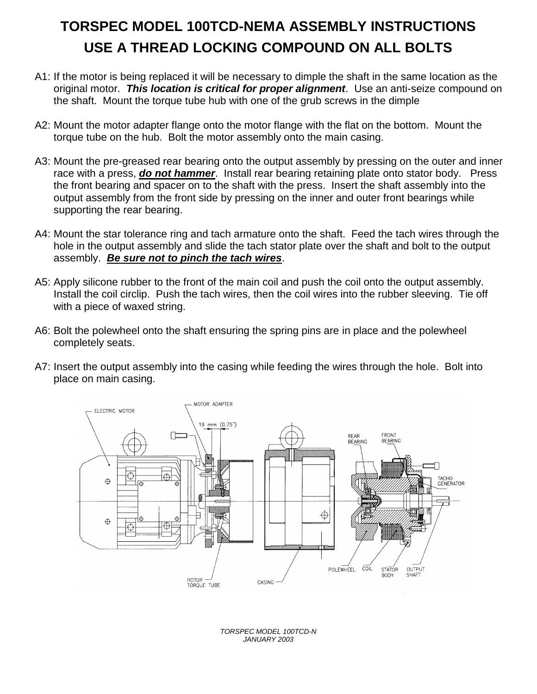## **TORSPEC MODEL 100TCD-NEMA ASSEMBLY INSTRUCTIONS USE A THREAD LOCKING COMPOUND ON ALL BOLTS**

- A1: If the motor is being replaced it will be necessary to dimple the shaft in the same location as the original motor. *This location is critical for proper alignment*. Use an anti-seize compound on the shaft. Mount the torque tube hub with one of the grub screws in the dimple
- A2: Mount the motor adapter flange onto the motor flange with the flat on the bottom. Mount the torque tube on the hub. Bolt the motor assembly onto the main casing.
- A3: Mount the pre-greased rear bearing onto the output assembly by pressing on the outer and inner race with a press, *do not hammer*. Install rear bearing retaining plate onto stator body. Press the front bearing and spacer on to the shaft with the press. Insert the shaft assembly into the output assembly from the front side by pressing on the inner and outer front bearings while supporting the rear bearing.
- A4: Mount the star tolerance ring and tach armature onto the shaft. Feed the tach wires through the hole in the output assembly and slide the tach stator plate over the shaft and bolt to the output assembly. *Be sure not to pinch the tach wires*.
- A5: Apply silicone rubber to the front of the main coil and push the coil onto the output assembly. Install the coil circlip. Push the tach wires, then the coil wires into the rubber sleeving. Tie off with a piece of waxed string.
- A6: Bolt the polewheel onto the shaft ensuring the spring pins are in place and the polewheel completely seats.
- A7: Insert the output assembly into the casing while feeding the wires through the hole. Bolt into place on main casing.



*TORSPEC MODEL 100TCD-N JANUARY 2003*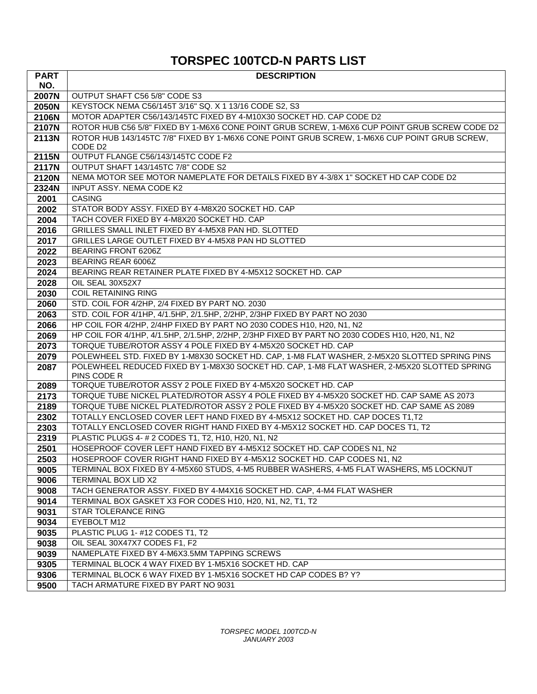## **TORSPEC 100TCD-N PARTS LIST**

| <b>PART</b>  | <b>DESCRIPTION</b>                                                                             |
|--------------|------------------------------------------------------------------------------------------------|
| NO.          |                                                                                                |
| 2007N        | OUTPUT SHAFT C56 5/8" CODE S3                                                                  |
| 2050N        | KEYSTOCK NEMA C56/145T 3/16" SQ. X 1 13/16 CODE S2, S3                                         |
| 2106N        | MOTOR ADAPTER C56/143/145TC FIXED BY 4-M10X30 SOCKET HD. CAP CODE D2                           |
| 2107N        | ROTOR HUB C56 5/8" FIXED BY 1-M6X6 CONE POINT GRUB SCREW, 1-M6X6 CUP POINT GRUB SCREW CODE D2  |
| 2113N        | ROTOR HUB 143/145TC 7/8" FIXED BY 1-M6X6 CONE POINT GRUB SCREW, 1-M6X6 CUP POINT GRUB SCREW,   |
|              | CODE D <sub>2</sub>                                                                            |
| 2115N        | OUTPUT FLANGE C56/143/145TC CODE F2                                                            |
| 2117N        | OUTPUT SHAFT 143/145TC 7/8" CODE S2                                                            |
| 2120N        | NEMA MOTOR SEE MOTOR NAMEPLATE FOR DETAILS FIXED BY 4-3/8X 1" SOCKET HD CAP CODE D2            |
| 2324N        | INPUT ASSY. NEMA CODE K2                                                                       |
| 2001         | <b>CASING</b>                                                                                  |
| 2002         | STATOR BODY ASSY. FIXED BY 4-M8X20 SOCKET HD. CAP                                              |
| 2004         | TACH COVER FIXED BY 4-M8X20 SOCKET HD. CAP                                                     |
| 2016         | GRILLES SMALL INLET FIXED BY 4-M5X8 PAN HD. SLOTTED                                            |
| 2017         | GRILLES LARGE OUTLET FIXED BY 4-M5X8 PAN HD SLOTTED                                            |
| 2022         | BEARING FRONT 6206Z                                                                            |
| 2023         | <b>BEARING REAR 6006Z</b><br>BEARING REAR RETAINER PLATE FIXED BY 4-M5X12 SOCKET HD, CAP       |
| 2024         |                                                                                                |
| 2028         | OIL SEAL 30X52X7<br><b>COIL RETAINING RING</b>                                                 |
| 2030         | STD. COIL FOR 4/2HP, 2/4 FIXED BY PART NO. 2030                                                |
| 2060<br>2063 | STD. COIL FOR 4/1HP, 4/1.5HP, 2/1.5HP, 2/2HP, 2/3HP FIXED BY PART NO 2030                      |
| 2066         | HP COIL FOR 4/2HP, 2/4HP FIXED BY PART NO 2030 CODES H10, H20, N1, N2                          |
| 2069         | HP COIL FOR 4/1HP, 4/1.5HP, 2/1.5HP, 2/2HP, 2/3HP FIXED BY PART NO 2030 CODES H10, H20, N1, N2 |
| 2073         | TORQUE TUBE/ROTOR ASSY 4 POLE FIXED BY 4-M5X20 SOCKET HD. CAP                                  |
| 2079         | POLEWHEEL STD. FIXED BY 1-M8X30 SOCKET HD. CAP, 1-M8 FLAT WASHER, 2-M5X20 SLOTTED SPRING PINS  |
| 2087         | POLEWHEEL REDUCED FIXED BY 1-M8X30 SOCKET HD. CAP, 1-M8 FLAT WASHER, 2-M5X20 SLOTTED SPRING    |
|              | PINS CODE R                                                                                    |
| 2089         | TORQUE TUBE/ROTOR ASSY 2 POLE FIXED BY 4-M5X20 SOCKET HD. CAP                                  |
| 2173         | TORQUE TUBE NICKEL PLATED/ROTOR ASSY 4 POLE FIXED BY 4-M5X20 SOCKET HD. CAP SAME AS 2073       |
| 2189         | TORQUE TUBE NICKEL PLATED/ROTOR ASSY 2 POLE FIXED BY 4-M5X20 SOCKET HD. CAP SAME AS 2089       |
| 2302         | TOTALLY ENCLOSED COVER LEFT HAND FIXED BY 4-M5X12 SOCKET HD. CAP DOCES T1,T2                   |
| 2303         | TOTALLY ENCLOSED COVER RIGHT HAND FIXED BY 4-M5X12 SOCKET HD. CAP DOCES T1, T2                 |
| 2319         | PLASTIC PLUGS 4- # 2 CODES T1, T2, H10, H20, N1, N2                                            |
| 2501         | HOSEPROOF COVER LEFT HAND FIXED BY 4-M5X12 SOCKET HD. CAP CODES N1, N2                         |
| 2503         | HOSEPROOF COVER RIGHT HAND FIXED BY 4-M5X12 SOCKET HD. CAP CODES N1, N2                        |
| 9005         | TERMINAL BOX FIXED BY 4-M5X60 STUDS, 4-M5 RUBBER WASHERS, 4-M5 FLAT WASHERS, M5 LOCKNUT        |
| 9006         | TERMINAL BOX LID X2                                                                            |
| 9008         | TACH GENERATOR ASSY. FIXED BY 4-M4X16 SOCKET HD. CAP, 4-M4 FLAT WASHER                         |
| 9014         | TERMINAL BOX GASKET X3 FOR CODES H10, H20, N1, N2, T1, T2                                      |
| 9031         | STAR TOLERANCE RING                                                                            |
| 9034         | EYEBOLT M12                                                                                    |
| 9035         | PLASTIC PLUG 1- #12 CODES T1, T2                                                               |
| 9038         | OIL SEAL 30X47X7 CODES F1, F2                                                                  |
| 9039         | NAMEPLATE FIXED BY 4-M6X3.5MM TAPPING SCREWS                                                   |
| 9305         | TERMINAL BLOCK 4 WAY FIXED BY 1-M5X16 SOCKET HD. CAP                                           |
| 9306         | TERMINAL BLOCK 6 WAY FIXED BY 1-M5X16 SOCKET HD CAP CODES B? Y?                                |
| 9500         | TACH ARMATURE FIXED BY PART NO 9031                                                            |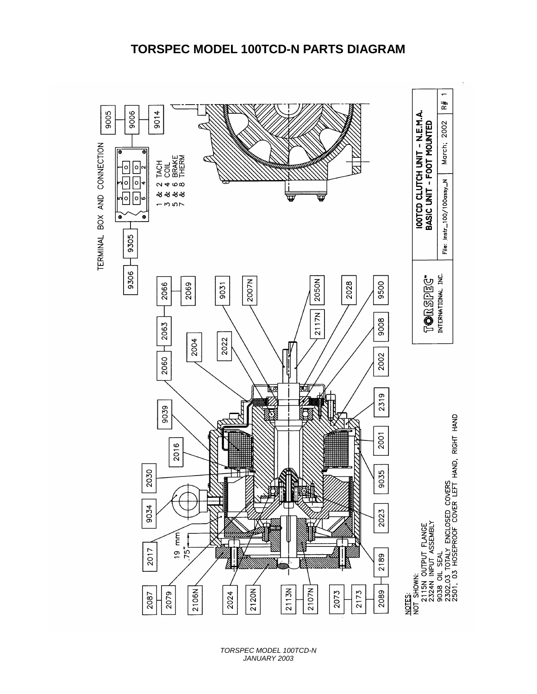

*TORSPEC MODEL 100TCD-N JANUARY 2003*